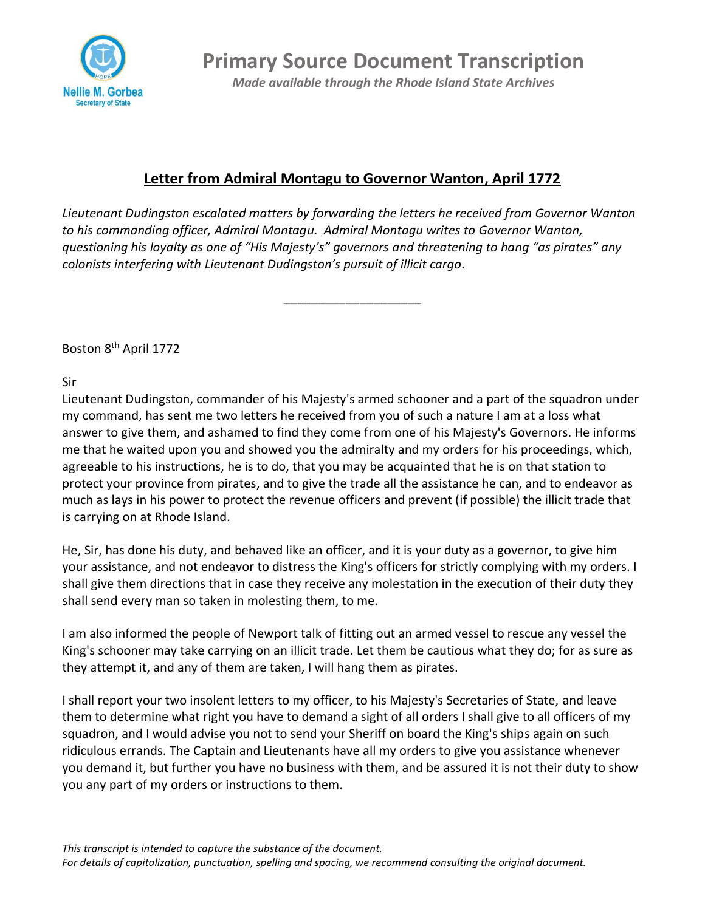

**Primary Source Document Transcription** *Made available through the Rhode Island State Archives*

## **Letter from Admiral Montagu to Governor Wanton, April 1772**

*Lieutenant Dudingston escalated matters by forwarding the letters he received from Governor Wanton to his commanding officer, Admiral Montagu. Admiral Montagu writes to Governor Wanton, questioning his loyalty as one of "His Majesty's" governors and threatening to hang "as pirates" any colonists interfering with Lieutenant Dudingston's pursuit of illicit cargo.*

\_\_\_\_\_\_\_\_\_\_\_\_\_\_\_\_\_\_\_\_

Boston 8th April 1772

Sir

Lieutenant Dudingston, commander of his Majesty's armed schooner and a part of the squadron under my command, has sent me two letters he received from you of such a nature I am at a loss what answer to give them, and ashamed to find they come from one of his Majesty's Governors. He informs me that he waited upon you and showed you the admiralty and my orders for his proceedings, which, agreeable to his instructions, he is to do, that you may be acquainted that he is on that station to protect your province from pirates, and to give the trade all the assistance he can, and to endeavor as much as lays in his power to protect the revenue officers and prevent (if possible) the illicit trade that is carrying on at Rhode Island.

He, Sir, has done his duty, and behaved like an officer, and it is your duty as a governor, to give him your assistance, and not endeavor to distress the King's officers for strictly complying with my orders. I shall give them directions that in case they receive any molestation in the execution of their duty they shall send every man so taken in molesting them, to me.

I am also informed the people of Newport talk of fitting out an armed vessel to rescue any vessel the King's schooner may take carrying on an illicit trade. Let them be cautious what they do; for as sure as they attempt it, and any of them are taken, I will hang them as pirates.

I shall report your two insolent letters to my officer, to his Majesty's Secretaries of State, and leave them to determine what right you have to demand a sight of all orders I shall give to all officers of my squadron, and I would advise you not to send your Sheriff on board the King's ships again on such ridiculous errands. The Captain and Lieutenants have all my orders to give you assistance whenever you demand it, but further you have no business with them, and be assured it is not their duty to show you any part of my orders or instructions to them.